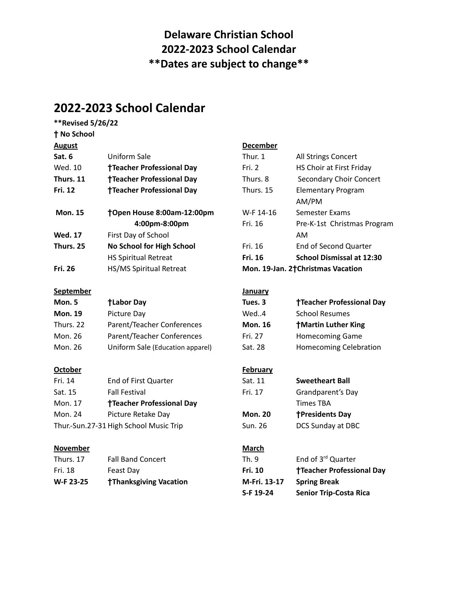## **Delaware Christian School 2022-2023 School Calendar \*\*Dates are subject to change\*\***

## **2022-2023 School Calendar**

| **Revised 5/26/22  |                                        |                 |                                    |  |
|--------------------|----------------------------------------|-----------------|------------------------------------|--|
| <b>† No School</b> |                                        |                 |                                    |  |
| <b>August</b>      |                                        | <b>December</b> |                                    |  |
| Sat. 6             | <b>Uniform Sale</b>                    | Thur. 1         | All Strings Concert                |  |
| Wed. 10            | <b>†Teacher Professional Day</b>       | Fri. 2          | HS Choir at First Friday           |  |
| Thurs. 11          | <b>†Teacher Professional Day</b>       | Thurs. 8        | <b>Secondary Choir Concert</b>     |  |
| Fri. 12            | <b>†Teacher Professional Day</b>       | Thurs. 15       | <b>Elementary Program</b><br>AM/PM |  |
| <b>Mon. 15</b>     | †Open House 8:00am-12:00pm             | W-F 14-16       | <b>Semester Exams</b>              |  |
|                    | 4:00pm-8:00pm                          | Fri. 16         | Pre-K-1st Christmas Program        |  |
| <b>Wed. 17</b>     | First Day of School                    |                 | AM                                 |  |
| Thurs. 25          | No School for High School              | Fri. 16         | <b>End of Second Quarter</b>       |  |
|                    | <b>HS Spiritual Retreat</b>            | Fri. 16         | <b>School Dismissal at 12:30</b>   |  |
| <b>Fri. 26</b>     | HS/MS Spiritual Retreat                |                 | Mon. 19-Jan. 2†Christmas Vacation  |  |
| <b>September</b>   |                                        | January         |                                    |  |
| <b>Mon. 5</b>      | <b>†Labor Day</b>                      | Tues. 3         | <b>Teacher Professional Day</b>    |  |
| <b>Mon. 19</b>     | Picture Day                            | Wed4            | <b>School Resumes</b>              |  |
| Thurs. 22          | Parent/Teacher Conferences             | <b>Mon. 16</b>  | <b>†Martin Luther King</b>         |  |
| Mon. 26            | Parent/Teacher Conferences             | Fri. 27         | <b>Homecoming Game</b>             |  |
| Mon. 26            | Uniform Sale (Education apparel)       | Sat. 28         | <b>Homecoming Celebration</b>      |  |
| <b>October</b>     |                                        | <b>February</b> |                                    |  |
| Fri. 14            | End of First Quarter                   | Sat. 11         | <b>Sweetheart Ball</b>             |  |
| Sat. 15            | <b>Fall Festival</b>                   | Fri. 17         | Grandparent's Day                  |  |
| Mon. 17            | <b>†Teacher Professional Day</b>       |                 | <b>Times TBA</b>                   |  |
| <b>Mon. 24</b>     | Picture Retake Day                     | <b>Mon. 20</b>  | <b>†Presidents Day</b>             |  |
|                    | Thur.-Sun.27-31 High School Music Trip | <b>Sun. 26</b>  | DCS Sunday at DBC                  |  |
| <b>November</b>    |                                        | <b>March</b>    |                                    |  |
| Thurs. 17          | <b>Fall Band Concert</b>               | Th. 9           | End of 3rd Quarter                 |  |
| Fri. 18            | Feast Day                              | Fri. 10         | <b>†Teacher Professional Day</b>   |  |
| W-F 23-25          | <b>†Thanksgiving Vacation</b>          | M-Fri. 13-17    | <b>Spring Break</b>                |  |
|                    |                                        | S-F 19-24       | <b>Senior Trip-Costa Rica</b>      |  |